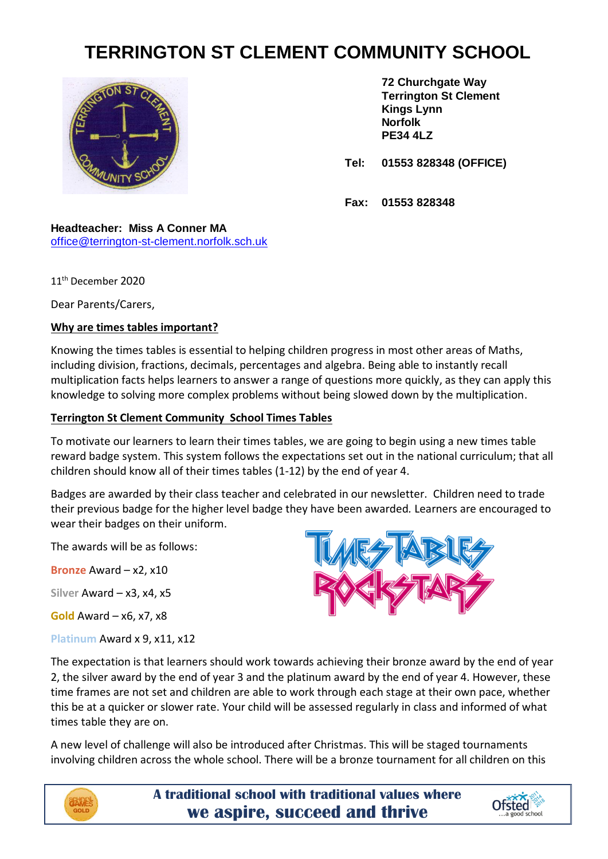## **TERRINGTON ST CLEMENT COMMUNITY SCHOOL**



**72 Churchgate Way Terrington St Clement Kings Lynn Norfolk PE34 4LZ**

**Tel: 01553 828348 (OFFICE)**

**Fax: 01553 828348**

## **Headteacher: Miss A Conner MA** [office@terrington-st-clement.norfolk.sch.uk](mailto:office@terrington-st-clement.norfolk.sch.uk)

11th December 2020

Dear Parents/Carers,

## **Why are times tables important?**

Knowing the times tables is essential to helping children progress in most other areas of Maths, including division, fractions, decimals, percentages and algebra. Being able to instantly recall multiplication facts helps learners to answer a range of questions more quickly, as they can apply this knowledge to solving more complex problems without being slowed down by the multiplication.

## **Terrington St Clement Community School Times Tables**

To motivate our learners to learn their times tables, we are going to begin using a new times table reward badge system. This system follows the expectations set out in the national curriculum; that all children should know all of their times tables (1-12) by the end of year 4.

Badges are awarded by their class teacher and celebrated in our newsletter. Children need to trade their previous badge for the higher level badge they have been awarded*.* Learners are encouraged to wear their badges on their uniform.

The awards will be as follows:

**Bronze** Award – x2, x10

**Silver** Award – x3, x4, x5

**Gold** Award – x6, x7, x8

**Platinum** Award x 9, x11, x12



The expectation is that learners should work towards achieving their bronze award by the end of year 2, the silver award by the end of year 3 and the platinum award by the end of year 4. However, these time frames are not set and children are able to work through each stage at their own pace, whether this be at a quicker or slower rate. Your child will be assessed regularly in class and informed of what times table they are on.

A new level of challenge will also be introduced after Christmas. This will be staged tournaments involving children across the whole school. There will be a bronze tournament for all children on this



**A traditional school with traditional values where we aspire, succeed and thrive**